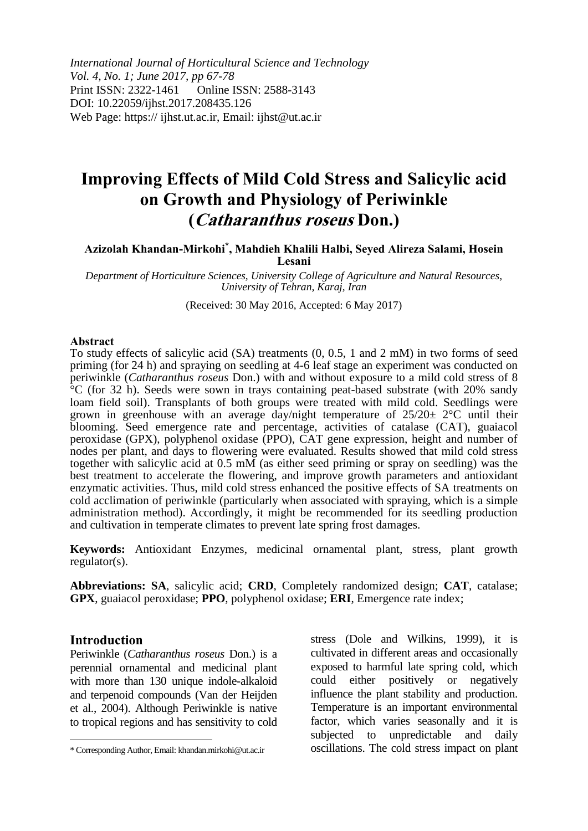*International Journal of Horticultural Science and Technology Vol. 4, No. 1; June 2017, pp 67-78* Print ISSN: 2322-1461 Online ISSN: 2588-3143 DOI: 10.22059/ijhst.2017.208435.126 Web Page: https:// ijhst.ut.ac.ir, Email: ijhst@ut.ac.ir

# **Improving Effects of Mild Cold Stress and Salicylic acid on Growth and Physiology of Periwinkle (Catharanthus roseus Don.)**

# **Azizolah Khandan-Mirkohi\* , Mahdieh Khalili Halbi, Seyed Alireza Salami, Hosein Lesani**

*Department of Horticulture Sciences, University College of Agriculture and Natural Resources, University of Tehran, Karaj, Iran*

(Received: 30 May 2016, Accepted: 6 May 2017)

#### **Abstract**

To study effects of salicylic acid (SA) treatments (0, 0.5, 1 and 2 mM) in two forms of seed priming (for 24 h) and spraying on seedling at 4-6 leaf stage an experiment was conducted on periwinkle (*Catharanthus roseus* Don.) with and without exposure to a mild cold stress of 8 °C (for 32 h). Seeds were sown in trays containing peat-based substrate (with 20% sandy loam field soil). Transplants of both groups were treated with mild cold. Seedlings were grown in greenhouse with an average day/night temperature of 25/20± 2°C until their blooming. Seed emergence rate and percentage, activities of catalase (CAT), guaiacol peroxidase (GPX), polyphenol oxidase (PPO), CAT gene expression, height and number of nodes per plant, and days to flowering were evaluated. Results showed that mild cold stress together with salicylic acid at 0.5 mM (as either seed priming or spray on seedling) was the best treatment to accelerate the flowering, and improve growth parameters and antioxidant enzymatic activities. Thus, mild cold stress enhanced the positive effects of SA treatments on cold acclimation of periwinkle (particularly when associated with spraying, which is a simple administration method). Accordingly, it might be recommended for its seedling production and cultivation in temperate climates to prevent late spring frost damages.

**Keywords:** Antioxidant Enzymes, medicinal ornamental plant, stress, plant growth regulator(s).

**Abbreviations: SA**, salicylic acid; **CRD**, Completely randomized design; **CAT**, catalase; **GPX**, guaiacol peroxidase; **PPO**, polyphenol oxidase; **ERI**, Emergence rate index;

#### **Introduction**

 $\overline{a}$ 

Periwinkle (*Catharanthus roseus* Don.) is a perennial ornamental and medicinal plant with more than 130 unique indole-alkaloid and terpenoid compounds (Van der Heijden et al., 2004). Although Periwinkle is native to tropical regions and has sensitivity to cold stress (Dole and Wilkins, 1999), it is cultivated in different areas and occasionally exposed to harmful late spring cold, which could either positively or negatively influence the plant stability and production. Temperature is an important environmental factor, which varies seasonally and it is subjected to unpredictable and daily oscillations. The cold stress impact on plant

<sup>\*</sup> Corresponding Author, Email: khandan.mirkohi@ut.ac.ir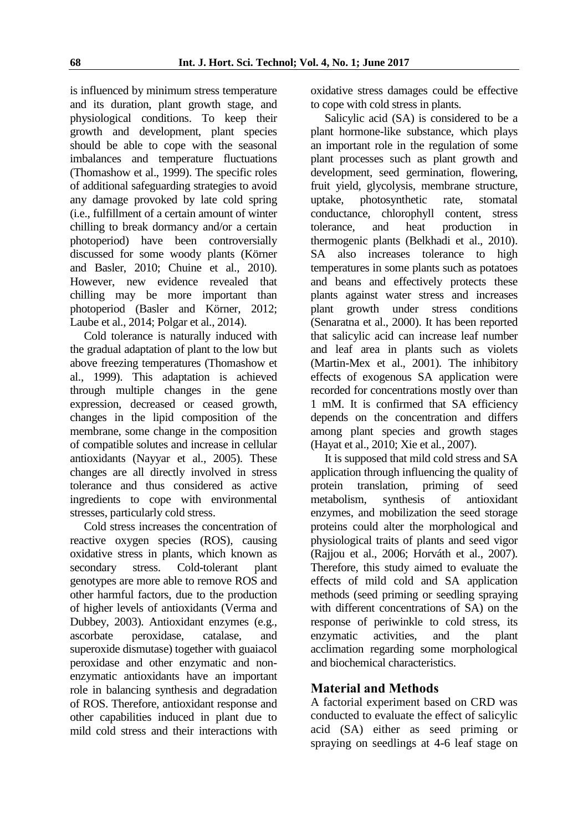is influenced by minimum stress temperature and its duration, plant growth stage, and physiological conditions. To keep their growth and development, plant species should be able to cope with the seasonal imbalances and temperature fluctuations (Thomashow et al., 1999). The specific roles of additional safeguarding strategies to avoid any damage provoked by late cold spring (i.e., fulfillment of a certain amount of winter chilling to break dormancy and/or a certain photoperiod) have been controversially discussed for some woody plants (Körner and Basler, 2010; Chuine et al., 2010). However, new evidence revealed that chilling may be more important than photoperiod (Basler and Körner, 2012; Laube et al., 2014; Polgar et al., 2014).

Cold tolerance is naturally induced with the gradual adaptation of plant to the low but above freezing temperatures (Thomashow et al., 1999). This adaptation is achieved through multiple changes in the gene expression, decreased or ceased growth, changes in the lipid composition of the membrane, some change in the composition of compatible solutes and increase in cellular antioxidants (Nayyar et al., 2005). These changes are all directly involved in stress tolerance and thus considered as active ingredients to cope with environmental stresses, particularly cold stress.

Cold stress increases the concentration of reactive oxygen species (ROS), causing oxidative stress in plants, which known as secondary stress. Cold-tolerant plant genotypes are more able to remove ROS and other harmful factors, due to the production of higher levels of antioxidants (Verma and Dubbey, 2003). Antioxidant enzymes (e.g., ascorbate peroxidase, catalase, and superoxide dismutase) together with guaiacol peroxidase and other enzymatic and nonenzymatic antioxidants have an important role in balancing synthesis and degradation of ROS. Therefore, antioxidant response and other capabilities induced in plant due to mild cold stress and their interactions with

oxidative stress damages could be effective to cope with cold stress in plants.

Salicylic acid (SA) is considered to be a plant hormone-like substance, which plays an important role in the regulation of some plant processes such as plant growth and development, seed germination, flowering, fruit yield, glycolysis, membrane structure, uptake, photosynthetic rate, stomatal conductance, chlorophyll content, stress tolerance, and heat production in thermogenic plants (Belkhadi et al., 2010). SA also increases tolerance to high temperatures in some plants such as potatoes and beans and effectively protects these plants against water stress and increases plant growth under stress conditions (Senaratna et al., 2000). It has been reported that salicylic acid can increase leaf number and leaf area in plants such as violets (Martin-Mex et al., 2001). The inhibitory effects of exogenous SA application were recorded for concentrations mostly over than 1 mM. It is confirmed that SA efficiency depends on the concentration and differs among plant species and growth stages (Hayat et al., 2010; Xie et al*.*, 2007).

It is supposed that mild cold stress and SA application through influencing the quality of protein translation, priming of seed metabolism, synthesis of antioxidant enzymes, and mobilization the seed storage proteins could alter the morphological and physiological traits of plants and seed vigor (Rajjou et al., 2006; Horváth et al., 2007). Therefore, this study aimed to evaluate the effects of mild cold and SA application methods (seed priming or seedling spraying with different concentrations of SA) on the response of periwinkle to cold stress, its enzymatic activities, and the plant acclimation regarding some morphological and biochemical characteristics.

# **Material and Methods**

A factorial experiment based on CRD was conducted to evaluate the effect of salicylic acid (SA) either as seed priming or spraying on seedlings at 4-6 leaf stage on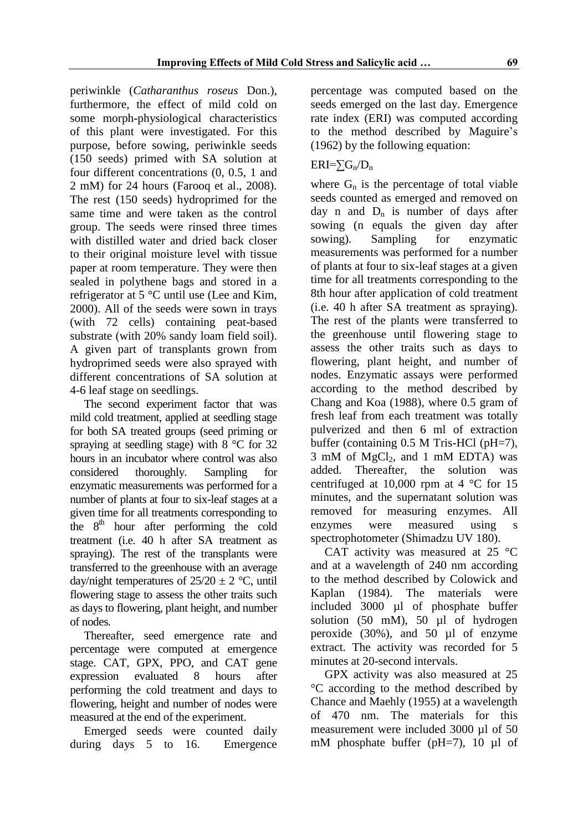periwinkle (*Catharanthus roseus* Don.), furthermore, the effect of mild cold on some morph-physiological characteristics of this plant were investigated. For this purpose, before sowing, periwinkle seeds (150 seeds) primed with SA solution at four different concentrations (0, 0.5, 1 and 2 mM) for 24 hours (Farooq et al., 2008). The rest (150 seeds) hydroprimed for the same time and were taken as the control group. The seeds were rinsed three times with distilled water and dried back closer to their original moisture level with tissue paper at room temperature. They were then sealed in polythene bags and stored in a refrigerator at 5 °C until use (Lee and Kim, 2000). All of the seeds were sown in trays (with 72 cells) containing peat-based substrate (with 20% sandy loam field soil). A given part of transplants grown from hydroprimed seeds were also sprayed with different concentrations of SA solution at 4-6 leaf stage on seedlings.

The second experiment factor that was mild cold treatment, applied at seedling stage for both SA treated groups (seed priming or spraying at seedling stage) with 8 °C for 32 hours in an incubator where control was also considered thoroughly. Sampling for enzymatic measurements was performed for a number of plants at four to six-leaf stages at a given time for all treatments corresponding to the  $8<sup>th</sup>$  hour after performing the cold treatment (i.e. 40 h after SA treatment as spraying). The rest of the transplants were transferred to the greenhouse with an average day/night temperatures of  $25/20 \pm 2$  °C, until flowering stage to assess the other traits such as days to flowering, plant height, and number of nodes.

Thereafter, seed emergence rate and percentage were computed at emergence stage. CAT, GPX, PPO, and CAT gene expression evaluated 8 hours after performing the cold treatment and days to flowering, height and number of nodes were measured at the end of the experiment.

Emerged seeds were counted daily during days 5 to 16. Emergence percentage was computed based on the seeds emerged on the last day. Emergence rate index (ERI) was computed according to the method described by Maguire's (1962) by the following equation:

# $ERI=\sum G_n/D_n$

where  $G_n$  is the percentage of total viable seeds counted as emerged and removed on day n and  $D_n$  is number of days after sowing (n equals the given day after sowing). Sampling for enzymatic measurements was performed for a number of plants at four to six-leaf stages at a given time for all treatments corresponding to the 8th hour after application of cold treatment (i.e. 40 h after SA treatment as spraying). The rest of the plants were transferred to the greenhouse until flowering stage to assess the other traits such as days to flowering, plant height, and number of nodes. Enzymatic assays were performed according to the method described by Chang and Koa (1988), where 0.5 gram of fresh leaf from each treatment was totally pulverized and then 6 ml of extraction buffer (containing 0.5 M Tris-HCl (pH=7),  $3 \text{ mM of MgCl}_2$ , and  $1 \text{ mM EDTA}$ ) was added. Thereafter, the solution was centrifuged at 10,000 rpm at  $4 \degree$ C for 15 minutes, and the supernatant solution was removed for measuring enzymes. All enzymes were measured using s spectrophotometer (Shimadzu UV 180).

CAT activity was measured at  $25 \text{ °C}$ and at a wavelength of 240 nm according to the method described by Colowick and Kaplan (1984). The materials were included 3000 µl of phosphate buffer solution (50 mM), 50 µl of hydrogen peroxide (30%), and 50 µl of enzyme extract. The activity was recorded for 5 minutes at 20-second intervals.

GPX activity was also measured at 25 °C according to the method described by Chance and Maehly (1955) at a wavelength of 470 nm. The materials for this measurement were included 3000 µl of 50 mM phosphate buffer (pH=7), 10 µl of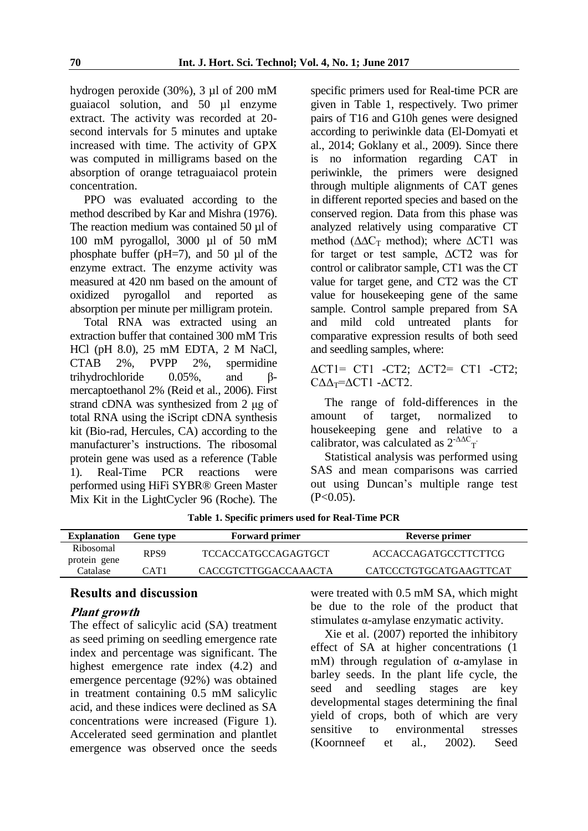hydrogen peroxide (30%), 3 µl of 200 mM guaiacol solution, and 50 µl enzyme extract. The activity was recorded at 20 second intervals for 5 minutes and uptake increased with time. The activity of GPX was computed in milligrams based on the absorption of orange tetraguaiacol protein concentration.

PPO was evaluated according to the method described by Kar and Mishra (1976). The reaction medium was contained 50 µl of 100 mM pyrogallol, 3000 µl of 50 mM phosphate buffer (pH=7), and 50 µl of the enzyme extract. The enzyme activity was measured at 420 nm based on the amount of oxidized pyrogallol and reported as absorption per minute per milligram protein.

Total RNA was extracted using an extraction buffer that contained 300 mM Tris HCl (pH 8.0), 25 mM EDTA, 2 M NaCl, CTAB 2%, PVPP 2%, spermidine trihydrochloride 0.05%, and βmercaptoethanol 2% (Reid et al*.*, 2006). First strand cDNA was synthesized from 2 μg of total RNA using the iScript cDNA synthesis kit (Bio-rad, Hercules, CA) according to the manufacturer's instructions. The ribosomal protein gene was used as a reference (Table 1). Real-Time PCR reactions were performed using HiFi SYBR® Green Master Mix Kit in the LightCycler 96 (Roche). The

specific primers used for Real-time PCR are given in Table 1, respectively. Two primer pairs of T16 and G10h genes were designed according to periwinkle data (El-Domyati et al., 2014; Goklany et al., 2009). Since there is no information regarding CAT in periwinkle, the primers were designed through multiple alignments of CAT genes in different reported species and based on the conserved region. Data from this phase was analyzed relatively using comparative CT method ( $\Delta \Delta C_T$  method); where  $\Delta CT1$  was for target or test sample, ΔCT2 was for control or calibrator sample, CT1 was the CT value for target gene, and CT2 was the CT value for housekeeping gene of the same sample. Control sample prepared from SA and mild cold untreated plants for comparative expression results of both seed and seedling samples, where:

ΔCT1= CT1 -CT2; ΔCT2= CT1 -CT2; CΔΔT=ΔCT1 -ΔCT2.

The range of fold-differences in the amount of target, normalized to housekeeping gene and relative to a calibrator, was calculated as  $2^{-\Delta\Delta C}$ <sub>T</sub>

Statistical analysis was performed using SAS and mean comparisons was carried out using Duncan's multiple range test  $(P<0.05)$ .

| <b>Explanation</b>        | <b>Gene type</b> | <b>Forward primer</b>      | Reverse primer         |  |  |  |
|---------------------------|------------------|----------------------------|------------------------|--|--|--|
| Ribosomal<br>protein gene | RPS <sub>9</sub> | <b>TCCACCATGCCAGAGTGCT</b> | ACCACCAGATGCCTTCTTCG   |  |  |  |
| Catalase                  | CAT1             | CACCGTCTTGGACCAAACTA       | CATCCCTGTGCATGAAGTTCAT |  |  |  |

**Table 1. Specific primers used for Real-Time PCR**

## **Results and discussion**

## **Plant growth**

The effect of salicylic acid (SA) treatment as seed priming on seedling emergence rate index and percentage was significant. The highest emergence rate index (4.2) and emergence percentage (92%) was obtained in treatment containing 0.5 mM salicylic acid, and these indices were declined as SA concentrations were increased (Figure 1). Accelerated seed germination and plantlet emergence was observed once the seeds

were treated with 0.5 mM SA, which might be due to the role of the product that stimulates α-amylase enzymatic activity.

Xie et al. (2007) reported the inhibitory effect of SA at higher concentrations (1 mM) through regulation of α-amylase in barley seeds. In the plant life cycle, the seed and seedling stages are key developmental stages determining the final yield of crops, both of which are very sensitive to environmental stresses (Koornneef et al*.*, 2002). Seed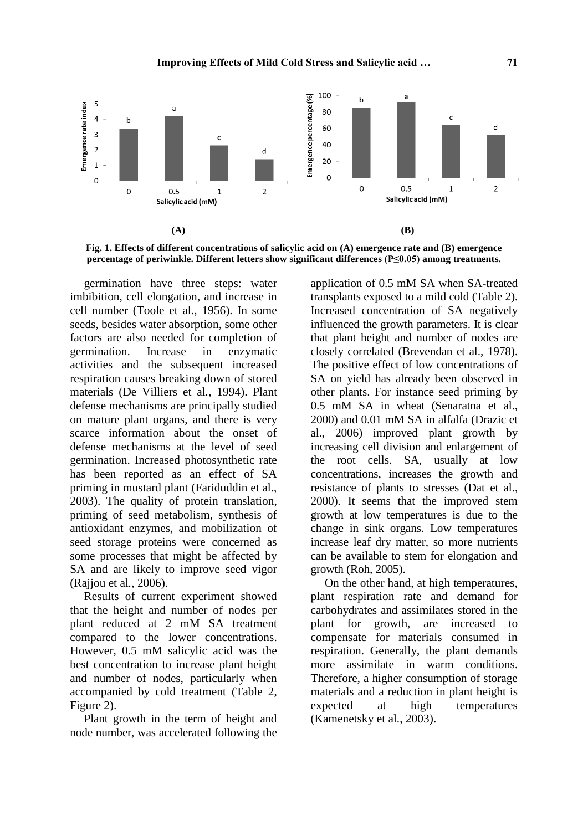

**Fig. 1. Effects of different concentrations of salicylic acid on (A) emergence rate and (B) emergence percentage of periwinkle. Different letters show significant differences (P≤0.05) among treatments.**

germination have three steps: water imbibition, cell elongation, and increase in cell number (Toole et al*.*, 1956). In some seeds, besides water absorption, some other factors are also needed for completion of germination. Increase in enzymatic activities and the subsequent increased respiration causes breaking down of stored materials (De Villiers et al*.*, 1994). Plant defense mechanisms are principally studied on mature plant organs, and there is very scarce information about the onset of defense mechanisms at the level of seed germination. Increased photosynthetic rate has been reported as an effect of SA priming in mustard plant (Fariduddin et al., 2003). The quality of protein translation, priming of seed metabolism, synthesis of antioxidant enzymes, and mobilization of seed storage proteins were concerned as some processes that might be affected by SA and are likely to improve seed vigor (Rajjou et al*.*, 2006).

Results of current experiment showed that the height and number of nodes per plant reduced at 2 mM SA treatment compared to the lower concentrations. However, 0.5 mM salicylic acid was the best concentration to increase plant height and number of nodes, particularly when accompanied by cold treatment (Table 2, Figure 2).

Plant growth in the term of height and node number, was accelerated following the application of 0.5 mM SA when SA-treated transplants exposed to a mild cold (Table 2). Increased concentration of SA negatively influenced the growth parameters. It is clear that plant height and number of nodes are closely correlated (Brevendan et al., 1978). The positive effect of low concentrations of SA on yield has already been observed in other plants. For instance seed priming by 0.5 mM SA in wheat (Senaratna et al., 2000) and 0.01 mM SA in alfalfa (Drazic et al., 2006) improved plant growth by increasing cell division and enlargement of the root cells. SA, usually at low concentrations, increases the growth and resistance of plants to stresses (Dat et al., 2000). It seems that the improved stem growth at low temperatures is due to the change in sink organs. Low temperatures increase leaf dry matter, so more nutrients can be available to stem for elongation and growth (Roh, 2005).

On the other hand, at high temperatures, plant respiration rate and demand for carbohydrates and assimilates stored in the plant for growth, are increased to compensate for materials consumed in respiration. Generally, the plant demands more assimilate in warm conditions. Therefore, a higher consumption of storage materials and a reduction in plant height is expected at high temperatures (Kamenetsky et al., 2003).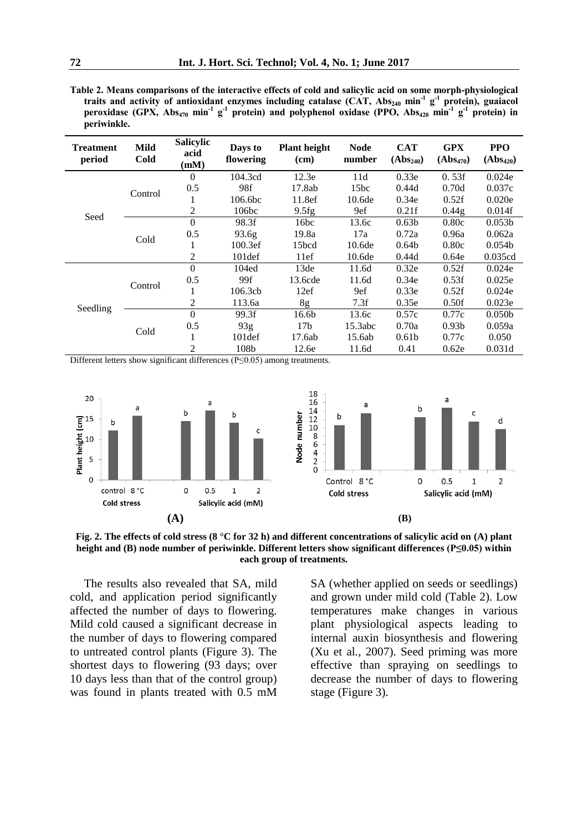**Table 2. Means comparisons of the interactive effects of cold and salicylic acid on some morph-physiological traits and activity of antioxidant enzymes including catalase (CAT, Abs<sup>240</sup> min-1 g -1 protein), guaiacol peroxidase (GPX, Abs<sup>470</sup> min-1 g -1 protein) and polyphenol oxidase (PPO, Abs<sup>420</sup> min-1 g -1 protein) in periwinkle.**

| <b>Treatment</b><br>period | Mild<br>Cold | <b>Salicylic</b><br>acid<br>(mM) | Days to<br>flowering | <b>Plant height</b><br>(cm) | <b>Node</b><br>number | <b>CAT</b><br>$(Abs_{240})$ | <b>GPX</b><br>$(Abs_{470})$ | <b>PPO</b><br>$(Abs_{420})$ |
|----------------------------|--------------|----------------------------------|----------------------|-----------------------------|-----------------------|-----------------------------|-----------------------------|-----------------------------|
| Seed                       | Control      | $\theta$                         | 104.3cd              | 12.3e                       | 11d                   | 0.33e                       | 0.53f                       | 0.024e                      |
|                            |              | 0.5                              | 98f                  | 17.8ab                      | 15bc                  | 0.44d                       | 0.70d                       | 0.037c                      |
|                            |              |                                  | 106.6bc              | 11.8ef                      | 10.6 <sub>de</sub>    | 0.34e                       | 0.52f                       | 0.020e                      |
|                            |              | 2                                | 106bc                | 9.5fg                       | 9ef                   | 0.21f                       | 0.44g                       | 0.014f                      |
|                            | Cold         | $\Omega$                         | 98.3f                | 16bc                        | 13.6c                 | 0.63 <sub>b</sub>           | 0.80c                       | 0.053 <sub>b</sub>          |
|                            |              | 0.5                              | 93.6 <sub>g</sub>    | 19.8a                       | 17a                   | 0.72a                       | 0.96a                       | 0.062a                      |
|                            |              |                                  | 100.3ef              | 15bcd                       | 10.6de                | 0.64 <sub>b</sub>           | 0.80c                       | 0.054 <sub>b</sub>          |
|                            |              | 2                                | $101$ def            | 11ef                        | 10.6de                | 0.44d                       | 0.64e                       | 0.035cd                     |
| Seedling                   | Control      | $\Omega$                         | 104ed                | 13de                        | 11.6d                 | 0.32e                       | 0.52f                       | 0.024e                      |
|                            |              | 0.5                              | 99f                  | 13.6cde                     | 11.6d                 | 0.34e                       | 0.53f                       | 0.025e                      |
|                            |              | л.                               | 106.3cb              | 12ef                        | 9ef                   | 0.33e                       | 0.52f                       | 0.024e                      |
|                            |              | 2                                | 113.6a               | 8g                          | 7.3f                  | 0.35e                       | 0.50f                       | 0.023e                      |
|                            | Cold         | $\Omega$                         | 99.3f                | 16.6b                       | 13.6c                 | 0.57c                       | 0.77c                       | 0.050 <sub>b</sub>          |
|                            |              | 0.5                              | 93g                  | 17 <sub>b</sub>             | 15.3abc               | 0.70a                       | 0.93 <sub>b</sub>           | 0.059a                      |
|                            |              | -1                               | 101 <sub>def</sub>   | 17.6ab                      | 15.6ab                | 0.61 <sub>b</sub>           | 0.77c                       | 0.050                       |
|                            |              | 2                                | 108b                 | 12.6e                       | 11.6d                 | 0.41                        | 0.62e                       | 0.031d                      |

Different letters show significant differences (P≤0.05) among treatments.



**Fig. 2. The effects of cold stress (8 °C for 32 h) and different concentrations of salicylic acid on (A) plant height and (B) node number of periwinkle. Different letters show significant differences (P≤0.05) within each group of treatments.**

The results also revealed that SA, mild cold, and application period significantly affected the number of days to flowering. Mild cold caused a significant decrease in the number of days to flowering compared to untreated control plants (Figure 3). The shortest days to flowering (93 days; over 10 days less than that of the control group) was found in plants treated with 0.5 mM SA (whether applied on seeds or seedlings) and grown under mild cold (Table 2). Low temperatures make changes in various plant physiological aspects leading to internal auxin biosynthesis and flowering (Xu et al*.*, 2007). Seed priming was more effective than spraying on seedlings to decrease the number of days to flowering stage (Figure 3).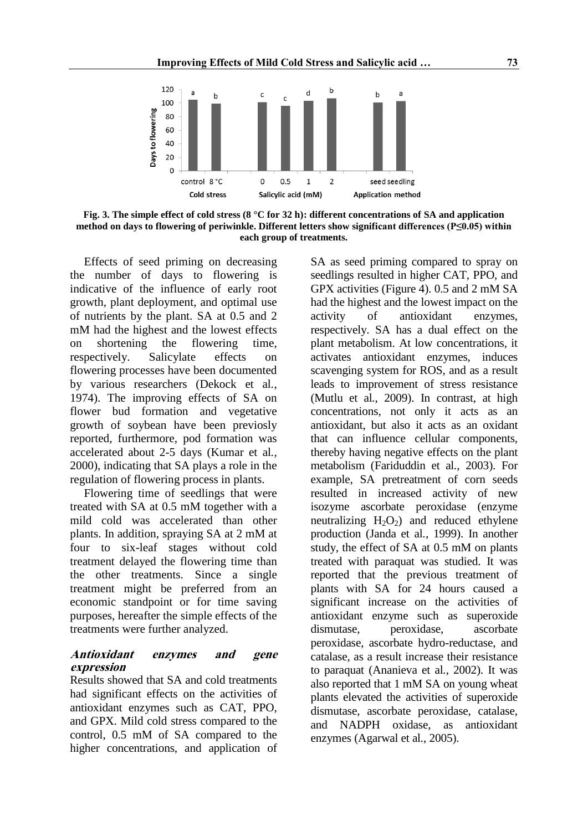

**Fig. 3. The simple effect of cold stress (8 °C for 32 h): different concentrations of SA and application method on days to flowering of periwinkle. Different letters show significant differences (P≤0.05) within each group of treatments.**

Effects of seed priming on decreasing the number of days to flowering is indicative of the influence of early root growth, plant deployment, and optimal use of nutrients by the plant. SA at 0.5 and 2 mM had the highest and the lowest effects on shortening the flowering time, respectively. Salicylate effects on flowering processes have been documented by various researchers (Dekock et al*.*, 1974). The improving effects of SA on flower bud formation and vegetative growth of soybean have been previosly reported, furthermore, pod formation was accelerated about 2-5 days (Kumar et al*.*, 2000), indicating that SA plays a role in the regulation of flowering process in plants.

Flowering time of seedlings that were treated with SA at 0.5 mM together with a mild cold was accelerated than other plants. In addition, spraying SA at 2 mM at four to six-leaf stages without cold treatment delayed the flowering time than the other treatments. Since a single treatment might be preferred from an economic standpoint or for time saving purposes, hereafter the simple effects of the treatments were further analyzed.

## **Antioxidant enzymes and gene expression**

Results showed that SA and cold treatments had significant effects on the activities of antioxidant enzymes such as CAT, PPO, and GPX. Mild cold stress compared to the control, 0.5 mM of SA compared to the higher concentrations, and application of SA as seed priming compared to spray on seedlings resulted in higher CAT, PPO, and GPX activities (Figure 4). 0.5 and 2 mM SA had the highest and the lowest impact on the activity of antioxidant enzymes, respectively. SA has a dual effect on the plant metabolism. At low concentrations, it activates antioxidant enzymes, induces scavenging system for ROS, and as a result leads to improvement of stress resistance (Mutlu et al*.*, 2009). In contrast, at high concentrations, not only it acts as an antioxidant, but also it acts as an oxidant that can influence cellular components, thereby having negative effects on the plant metabolism (Fariduddin et al*.*, 2003). For example, SA pretreatment of corn seeds resulted in increased activity of new isozyme ascorbate peroxidase (enzyme neutralizing  $H_2O_2$  and reduced ethylene production (Janda et al*.*, 1999). In another study, the effect of SA at 0.5 mM on plants treated with paraquat was studied. It was reported that the previous treatment of plants with SA for 24 hours caused a significant increase on the activities of antioxidant enzyme such as superoxide dismutase, peroxidase, ascorbate peroxidase, ascorbate hydro-reductase, and catalase, as a result increase their resistance to paraquat (Ananieva et al*.*, 2002). It was also reported that 1 mM SA on young wheat plants elevated the activities of superoxide dismutase, ascorbate peroxidase, catalase, and NADPH oxidase, as antioxidant enzymes (Agarwal et al*.*, 2005).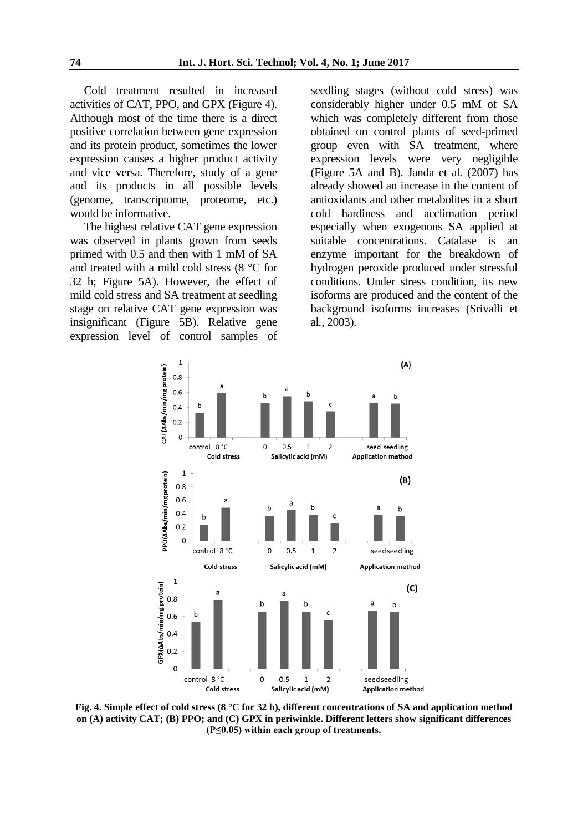Cold treatment resulted in increased activities of CAT, PPO, and GPX (Figure 4). Although most of the time there is a direct positive correlation between gene expression and its protein product, sometimes the lower expression causes a higher product activity and vice versa. Therefore, study of a gene and its products in all possible levels (genome, transcriptome, proteome, etc.) would be informative.

The highest relative CAT gene expression was observed in plants grown from seeds primed with 0.5 and then with 1 mM of SA and treated with a mild cold stress (8 °C for 32 h; Figure 5A). However, the effect of mild cold stress and SA treatment at seedling stage on relative CAT gene expression was insignificant (Figure 5B). Relative gene expression level of control samples of seedling stages (without cold stress) was considerably higher under 0.5 mM of SA which was completely different from those obtained on control plants of seed-primed group even with SA treatment, where expression levels were very negligible (Figure 5A and B). Janda et al*.* (2007) has already showed an increase in the content of antioxidants and other metabolites in a short cold hardiness and acclimation period especially when exogenous SA applied at suitable concentrations. Catalase is an enzyme important for the breakdown of hydrogen peroxide produced under stressful conditions. Under stress condition, its new isoforms are produced and the content of the background isoforms increases (Srivalli et al*.*, 2003).



**Fig. 4. Simple effect of cold stress (8 °C for 32 h), different concentrations of SA and application method on (A) activity CAT; (B) PPO; and (C) GPX in periwinkle. Different letters show significant differences (P≤0.05) within each group of treatments.**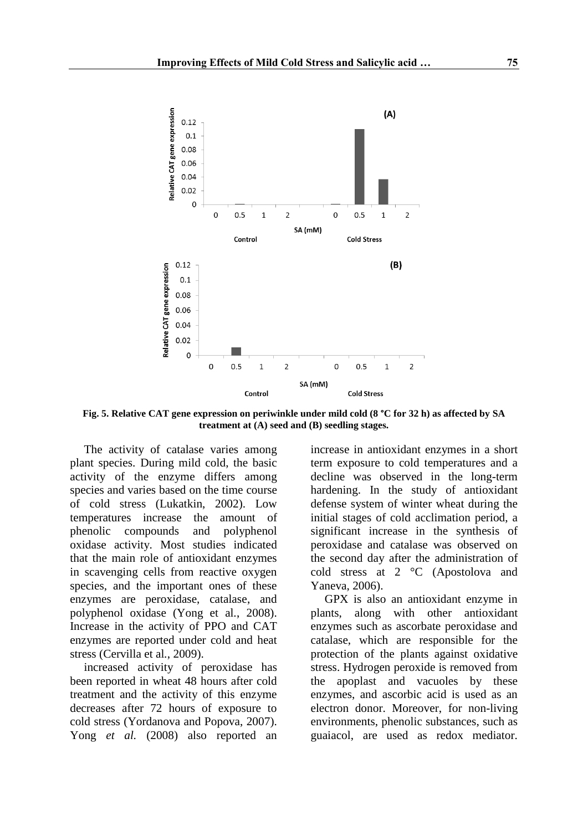

**Fig. 5. Relative CAT gene expression on periwinkle under mild cold (8 °C for 32 h) as affected by SA treatment at (A) seed and (B) seedling stages.**

The activity of catalase varies among plant species. During mild cold, the basic activity of the enzyme differs among species and varies based on the time course of cold stress (Lukatkin, 2002). Low temperatures increase the amount of phenolic compounds and polyphenol oxidase activity. Most studies indicated that the main role of antioxidant enzymes in scavenging cells from reactive oxygen species, and the important ones of these enzymes are peroxidase, catalase, and polyphenol oxidase (Yong et al*.*, 2008). Increase in the activity of PPO and CAT enzymes are reported under cold and heat stress (Cervilla et al*.*, 2009).

increased activity of peroxidase has been reported in wheat 48 hours after cold treatment and the activity of this enzyme decreases after 72 hours of exposure to cold stress (Yordanova and Popova, 2007). Yong *et al.* (2008) also reported an increase in antioxidant enzymes in a short term exposure to cold temperatures and a decline was observed in the long-term hardening. In the study of antioxidant defense system of winter wheat during the initial stages of cold acclimation period, a significant increase in the synthesis of peroxidase and catalase was observed on the second day after the administration of cold stress at 2 °C (Apostolova and Yaneva, 2006).

GPX is also an antioxidant enzyme in plants, along with other antioxidant enzymes such as ascorbate peroxidase and catalase, which are responsible for the protection of the plants against oxidative stress. Hydrogen peroxide is removed from the apoplast and vacuoles by these enzymes, and ascorbic acid is used as an electron donor. Moreover, for non-living environments, phenolic substances, such as guaiacol, are used as redox mediator.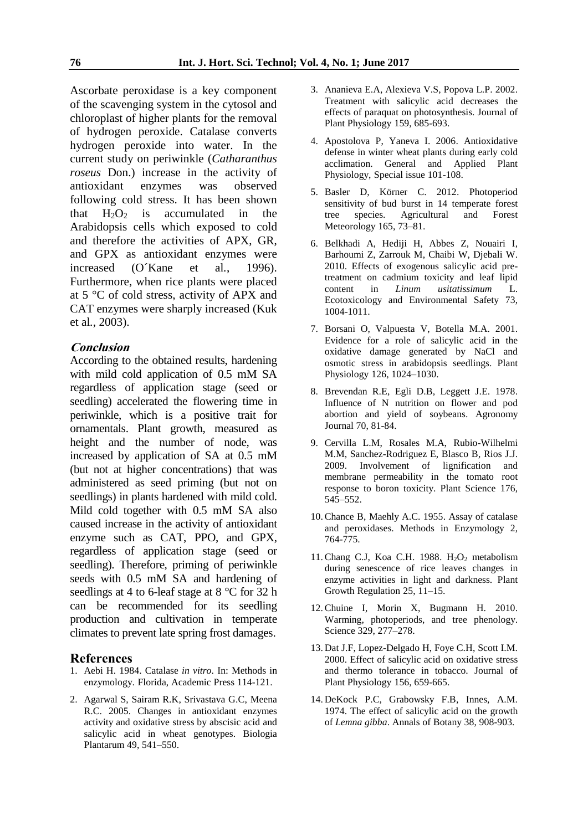Ascorbate peroxidase is a key component of the scavenging system in the cytosol and chloroplast of higher plants for the removal of hydrogen peroxide. Catalase converts hydrogen peroxide into water. In the current study on periwinkle (*Catharanthus roseus* Don.) increase in the activity of antioxidant enzymes was observed following cold stress. It has been shown that  $H_2O_2$  is accumulated in the Arabidopsis cells which exposed to cold and therefore the activities of APX, GR, and GPX as antioxidant enzymes were increased (O´Kane et al*.*, 1996). Furthermore, when rice plants were placed at 5 °C of cold stress, activity of APX and CAT enzymes were sharply increased (Kuk et al*.*, 2003).

#### **Conclusion**

According to the obtained results, hardening with mild cold application of 0.5 mM SA regardless of application stage (seed or seedling) accelerated the flowering time in periwinkle, which is a positive trait for ornamentals. Plant growth, measured as height and the number of node, was increased by application of SA at 0.5 mM (but not at higher concentrations) that was administered as seed priming (but not on seedlings) in plants hardened with mild cold. Mild cold together with 0.5 mM SA also caused increase in the activity of antioxidant enzyme such as CAT, PPO, and GPX, regardless of application stage (seed or seedling). Therefore, priming of periwinkle seeds with 0.5 mM SA and hardening of seedlings at 4 to 6-leaf stage at 8 °C for 32 h can be recommended for its seedling production and cultivation in temperate climates to prevent late spring frost damages.

#### **References**

- 1. Aebi H. 1984. Catalase *in vitro*. In: Methods in enzymology. Florida, Academic Press 114-121.
- 2. Agarwal S, Sairam R.K, Srivastava G.C, Meena R.C. 2005. Changes in antioxidant enzymes activity and oxidative stress by abscisic acid and salicylic acid in wheat genotypes. Biologia Plantarum 49, 541–550.
- 3. Ananieva E.A, Alexieva V.S, Popova L.P. 2002. Treatment with salicylic acid decreases the effects of paraquat on photosynthesis. Journal of Plant Physiology 159, 685-693.
- 4. Apostolova P, Yaneva I. 2006. Antioxidative defense in winter wheat plants during early cold acclimation. General and Applied Plant Physiology, Special issue 101-108.
- 5. Basler D, Körner C. 2012. Photoperiod sensitivity of bud burst in 14 temperate forest<br>tree species. Agricultural and Forest tree species. Agricultural Meteorology 165, 73–81.
- 6. Belkhadi A, Hediji H, Abbes Z, Nouairi I, Barhoumi Z, Zarrouk M, Chaibi W, Djebali W. 2010. Effects of exogenous salicylic acid pretreatment on cadmium toxicity and leaf lipid content in *Linum usitatissimum* L. Ecotoxicology and Environmental Safety 73, 1004-1011.
- 7. Borsani O, Valpuesta V, Botella M.A. 2001. Evidence for a role of salicylic acid in the oxidative damage generated by NaCl and osmotic stress in arabidopsis seedlings. Plant Physiology 126, 1024–1030.
- 8. Brevendan R.E, Egli D.B, Leggett J.E. 1978. Influence of N nutrition on flower and pod abortion and yield of soybeans. Agronomy Journal 70, 81-84.
- 9. Cervilla L.M, Rosales M.A, Rubio-Wilhelmi M.M, Sanchez-Rodriguez E, Blasco B, Rios J.J. 2009. Involvement of lignification and membrane permeability in the tomato root response to boron toxicity. Plant Science 176, 545–552.
- 10.Chance B, Maehly A.C. 1955. Assay of catalase and peroxidases. Methods in Enzymology 2, 764-775.
- 11. Chang C.J, Koa C.H. 1988.  $H_2O_2$  metabolism during senescence of rice leaves changes in enzyme activities in light and darkness. Plant Growth Regulation 25, 11–15.
- 12.Chuine I, Morin X, Bugmann H. 2010. Warming, photoperiods, and tree phenology. Science 329, 277–278.
- 13. Dat J.F, Lopez-Delgado H, Foye C.H, Scott I.M. 2000. Effect of salicylic acid on oxidative stress and thermo tolerance in tobacco. Journal of Plant Physiology 156, 659-665.
- 14. DeKock P.C, Grabowsky F.B, Innes, A.M. 1974. The effect of salicylic acid on the growth of *Lemna gibba*. Annals of Botany 38, 908-903.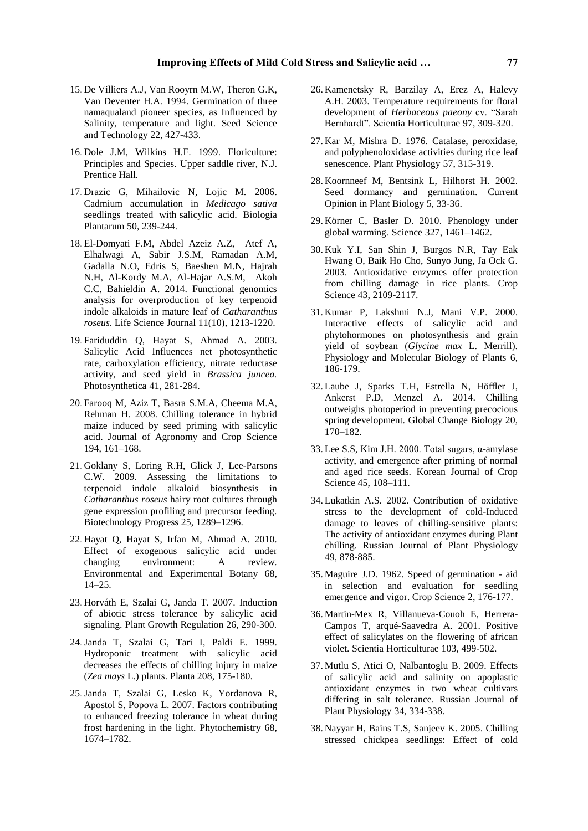- 15. De Villiers A.J, Van Rooyrn M.W, Theron G.K, Van Deventer H.A. 1994. Germination of three namaqualand pioneer species, as Influenced by Salinity, temperature and light. Seed Science and Technology 22, 427-433.
- 16. Dole J.M, Wilkins H.F. 1999. Floriculture: Principles and Species. Upper saddle river, N.J. Prentice Hall.
- 17. Drazic G, Mihailovic N, Lojic M. 2006. Cadmium accumulation in *Medicago sativa*  seedlings treated with salicylic acid. Biologia Plantarum 50, 239-244.
- 18. El-Domyati F.M, Abdel Azeiz A.Z, Atef A, Elhalwagi A, Sabir J.S.M, Ramadan A.M, Gadalla N.O, Edris S, Baeshen M.N, Hajrah N.H, Al-Kordy M.A, Al-Hajar A.S.M, Akoh C.C, Bahieldin A. 2014. Functional genomics analysis for overproduction of key terpenoid indole alkaloids in mature leaf of *Catharanthus roseus*. Life Science Journal 11(10), 1213-1220.
- 19. Fariduddin Q, Hayat S, Ahmad A. 2003. Salicylic Acid Influences net photosynthetic rate, carboxylation efficiency, nitrate reductase activity, and seed yield in *Brassica juncea.* Photosynthetica 41, 281-284.
- 20. Farooq M, Aziz T, Basra S.M.A, Cheema M.A, Rehman H. 2008. Chilling tolerance in hybrid maize induced by seed priming with salicylic acid. Journal of Agronomy and Crop Science 194, 161–168.
- 21. Goklany S, Loring R.H, Glick J, Lee-Parsons C.W. 2009. Assessing the limitations to terpenoid indole alkaloid biosynthesis in *Catharanthus roseus* hairy root cultures through gene expression profiling and precursor feeding. Biotechnology Progress 25, 1289–1296.
- 22. Hayat Q, Hayat S, Irfan M, Ahmad A. 2010. Effect of exogenous salicylic acid under changing environment: A review. Environmental and Experimental Botany 68, 14–25.
- 23. Horváth E, Szalai G, Janda T. 2007. Induction of abiotic stress tolerance by salicylic acid signaling. Plant Growth Regulation 26, 290-300.
- 24.Janda T, Szalai G, Tari I, Paldi E. 1999. Hydroponic treatment with salicylic acid decreases the effects of chilling injury in maize (*Zea mays* L.) plants. Planta 208, 175-180.
- 25.Janda T, Szalai G, Lesko K, Yordanova R, Apostol S, Popova L. 2007. Factors contributing to enhanced freezing tolerance in wheat during frost hardening in the light. Phytochemistry 68, 1674–1782.
- 26. Kamenetsky R, Barzilay A, Erez A, Halevy A.H. 2003. Temperature requirements for floral development of *Herbaceous paeony* cv. "Sarah Bernhardt". Scientia Horticulturae 97, 309-320.
- 27. Kar M, Mishra D. 1976. Catalase, peroxidase, and polyphenoloxidase activities during rice leaf senescence. Plant Physiology 57, 315-319.
- 28. Koornneef M, Bentsink L, Hilhorst H. 2002. Seed dormancy and germination. Current Opinion in Plant Biology 5, 33-36.
- 29. Körner C, Basler D. 2010. Phenology under global warming. Science 327, 1461–1462.
- 30. Kuk Y.I, San Shin J, Burgos N.R, Tay Eak Hwang O, Baik Ho Cho, Sunyo Jung, Ja Ock G. 2003. Antioxidative enzymes offer protection from chilling damage in rice plants. Crop Science 43, 2109-2117.
- 31. Kumar P, Lakshmi N.J, Mani V.P. 2000. Interactive effects of salicylic acid and phytohormones on photosynthesis and grain yield of soybean (*Glycine max* L. Merrill). Physiology and Molecular Biology of Plants 6, 186-179.
- 32. Laube J, Sparks T.H, Estrella N, Höffler J, Ankerst P.D, Menzel A. 2014. Chilling outweighs photoperiod in preventing precocious spring development. Global Change Biology 20, 170–182.
- 33. Lee S.S, Kim J.H. 2000. Total sugars, α-amylase activity, and emergence after priming of normal and aged rice seeds. Korean Journal of Crop Science 45, 108–111.
- 34. Lukatkin A.S. 2002. Contribution of oxidative stress to the development of cold-Induced damage to leaves of chilling-sensitive plants: The activity of antioxidant enzymes during Plant chilling. Russian Journal of Plant Physiology 49, 878-885.
- 35. Maguire J.D. 1962. Speed of germination aid in selection and evaluation for seedling emergence and vigor. Crop Science 2, 176-177.
- 36. Martin-Mex R, Villanueva-Couoh E, Herrera-Campos T, arqué-Saavedra A. 2001. Positive effect of salicylates on the flowering of african violet. Scientia Horticulturae 103, 499-502.
- 37. Mutlu S, Atici O, Nalbantoglu B. 2009. Effects of salicylic acid and salinity on apoplastic antioxidant enzymes in two wheat cultivars differing in salt tolerance. Russian Journal of Plant Physiology 34, 334-338.
- 38. Nayyar H, Bains T.S, Sanjeev K. 2005. Chilling stressed chickpea seedlings: Effect of cold